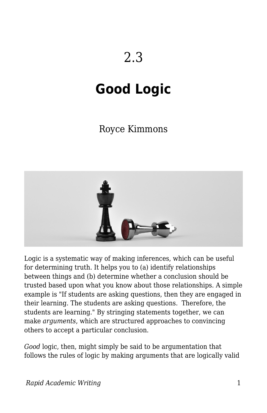# 2.3

# **Good Logic**

## Royce Kimmons



Logic is a systematic way of making inferences, which can be useful for determining truth. It helps you to (a) identify relationships between things and (b) determine whether a conclusion should be trusted based upon what you know about those relationships. A simple example is "If students are asking questions, then they are engaged in their learning. The students are asking questions. Therefore, the students are learning." By stringing statements together, we can make *arguments*, which are structured approaches to convincing others to accept a particular conclusion.

*Good* logic, then, might simply be said to be argumentation that follows the rules of logic by making arguments that are logically valid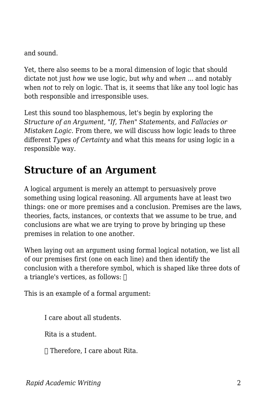and sound.

Yet, there also seems to be a moral dimension of logic that should dictate not just *how* we use logic, but *why* and *when* ... and notably when *not* to rely on logic. That is, it seems that like any tool logic has both responsible and irresponsible uses.

Lest this sound too blasphemous, let's begin by exploring the *Structure of an Argument, "If, Then" Statements,* and *Fallacies or Mistaken Logic.* From there, we will discuss how logic leads to three different *Types of Certainty* and what this means for using logic in a responsible way.

## **Structure of an Argument**

A logical argument is merely an attempt to persuasively prove something using logical reasoning. All arguments have at least two things: one or more premises and a conclusion. Premises are the laws, theories, facts, instances, or contexts that we assume to be true, and conclusions are what we are trying to prove by bringing up these premises in relation to one another.

When laying out an argument using formal logical notation, we list all of our premises first (one on each line) and then identify the conclusion with a therefore symbol, which is shaped like three dots of a triangle's vertices, as follows:  $□$ 

This is an example of a formal argument:

I care about all students.

Rita is a student.

∴ Therefore, I care about Rita.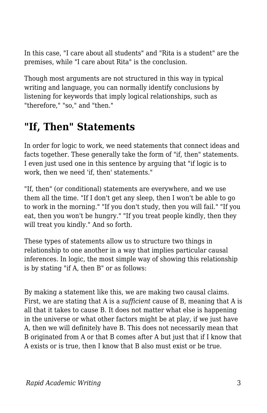In this case, "I care about all students" and "Rita is a student" are the premises, while "I care about Rita" is the conclusion.

Though most arguments are not structured in this way in typical writing and language, you can normally identify conclusions by listening for keywords that imply logical relationships, such as "therefore," "so," and "then."

## **"If, Then" Statements**

In order for logic to work, we need statements that connect ideas and facts together. These generally take the form of "if, then" statements. I even just used one in this sentence by arguing that "if logic is to work, then we need 'if, then' statements."

"If, then" (or conditional) statements are everywhere, and we use them all the time. "If I don't get any sleep, then I won't be able to go to work in the morning." "If you don't study, then you will fail." "If you eat, then you won't be hungry." "If you treat people kindly, then they will treat you kindly." And so forth.

These types of statements allow us to structure two things in relationship to one another in a way that implies particular causal inferences. In logic, the most simple way of showing this relationship is by stating "if A, then B" or as follows:

By making a statement like this, we are making two causal claims. First, we are stating that A is a *sufficient* cause of B, meaning that A is all that it takes to cause B. It does not matter what else is happening in the universe or what other factors might be at play, if we just have A, then we will definitely have B. This does not necessarily mean that B originated from A or that B comes after A but just that if I know that A exists or is true, then I know that B also must exist or be true.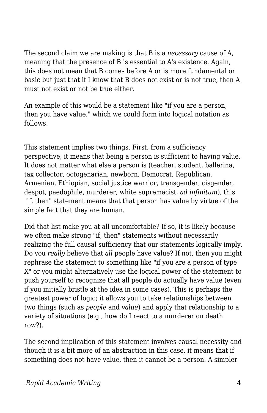The second claim we are making is that B is a *necessary* cause of A, meaning that the presence of B is essential to A's existence. Again, this does not mean that B comes before A or is more fundamental or basic but just that if I know that B does not exist or is not true, then A must not exist or not be true either.

An example of this would be a statement like "if you are a person, then you have value," which we could form into logical notation as follows:

This statement implies two things. First, from a sufficiency perspective, it means that being a person is sufficient to having value. It does not matter what else a person is (teacher, student, ballerina, tax collector, octogenarian, newborn, Democrat, Republican, Armenian, Ethiopian, social justice warrior, transgender, cisgender, despot, paedophile, murderer, white supremacist, *ad infinitum*), this "if, then" statement means that that person has value by virtue of the simple fact that they are human.

Did that list make you at all uncomfortable? If so, it is likely because we often make strong "if, then" statements without necessarily realizing the full causal sufficiency that our statements logically imply. Do you *really* believe that *all* people have value? If not, then you might rephrase the statement to something like "if you are a person of type X" or you might alternatively use the logical power of the statement to push yourself to recognize that all people do actually have value (even if you initially bristle at the idea in some cases). This is perhaps the greatest power of logic; it allows you to take relationships between two things (such as *people* and *value*) and apply that relationship to a variety of situations (e.g., how do I react to a murderer on death row?).

The second implication of this statement involves causal necessity and though it is a bit more of an abstraction in this case, it means that if something does not have value, then it cannot be a person. A simpler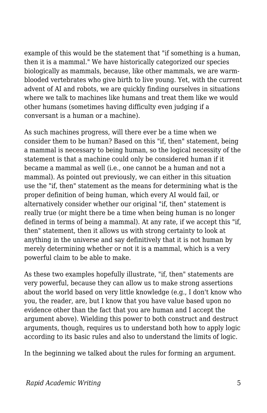example of this would be the statement that "if something is a human, then it is a mammal." We have historically categorized our species biologically as mammals, because, like other mammals, we are warmblooded vertebrates who give birth to live young. Yet, with the current advent of AI and robots, we are quickly finding ourselves in situations where we talk to machines like humans and treat them like we would other humans (sometimes having difficulty even judging if a conversant is a human or a machine).

As such machines progress, will there ever be a time when we consider them to be human? Based on this "if, then" statement, being a mammal is necessary to being human, so the logical necessity of the statement is that a machine could only be considered human if it became a mammal as well (i.e., one cannot be a human and not a mammal). As pointed out previously, we can either in this situation use the "if, then" statement as the means for determining what is the proper definition of being human, which every AI would fail, or alternatively consider whether our original "if, then" statement is really true (or might there be a time when being human is no longer defined in terms of being a mammal). At any rate, if we accept this "if, then" statement, then it allows us with strong certainty to look at anything in the universe and say definitively that it is not human by merely determining whether or not it is a mammal, which is a very powerful claim to be able to make.

As these two examples hopefully illustrate, "if, then" statements are very powerful, because they can allow us to make strong assertions about the world based on very little knowledge (e.g., I don't know who you, the reader, are, but I know that you have value based upon no evidence other than the fact that you are human and I accept the argument above). Wielding this power to both construct and destruct arguments, though, requires us to understand both how to apply logic according to its basic rules and also to understand the limits of logic.

In the beginning we talked about the rules for forming an argument.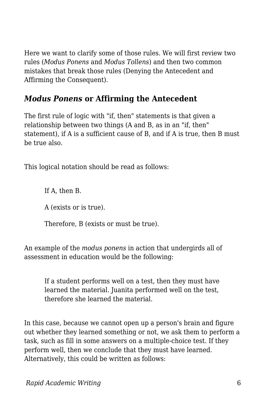Here we want to clarify some of those rules. We will first review two rules (*Modus Ponens* and *Modus Tollens*) and then two common mistakes that break those rules (Denying the Antecedent and Affirming the Consequent).

### *Modus Ponens* **or Affirming the Antecedent**

The first rule of logic with "if, then" statements is that given a relationship between two things (A and B, as in an "if, then" statement), if A is a sufficient cause of B, and if A is true, then B must be true also.

This logical notation should be read as follows:

If A, then B.

A (exists or is true).

Therefore, B (exists or must be true).

An example of the *modus ponens* in action that undergirds all of assessment in education would be the following:

If a student performs well on a test, then they must have learned the material. Juanita performed well on the test, therefore she learned the material.

In this case, because we cannot open up a person's brain and figure out whether they learned something or not, we ask them to perform a task, such as fill in some answers on a multiple-choice test. If they perform well, then we conclude that they must have learned. Alternatively, this could be written as follows: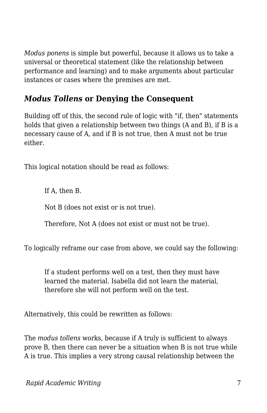*Modus ponens* is simple but powerful, because it allows us to take a universal or theoretical statement (like the relationship between performance and learning) and to make arguments about particular instances or cases where the premises are met.

### *Modus Tollens* **or Denying the Consequent**

Building off of this, the second rule of logic with "if, then" statements holds that given a relationship between two things (A and B), if B is a necessary cause of A, and if B is not true, then A must not be true either.

This logical notation should be read as follows:

If A, then B.

Not B (does not exist or is not true).

Therefore, Not A (does not exist or must not be true).

To logically reframe our case from above, we could say the following:

If a student performs well on a test, then they must have learned the material. Isabella did not learn the material, therefore she will not perform well on the test.

Alternatively, this could be rewritten as follows:

The *modus tollens* works, because if A truly is sufficient to always prove B, then there can never be a situation when B is not true while A is true. This implies a very strong causal relationship between the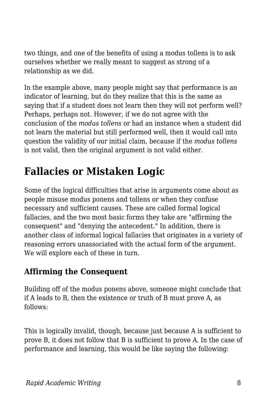two things, and one of the benefits of using a modus tollens is to ask ourselves whether we really meant to suggest as strong of a relationship as we did.

In the example above, many people might say that performance is an indicator of learning, but do they realize that this is the same as saying that if a student does not learn then they will not perform well? Perhaps, perhaps not. However, if we do not agree with the conclusion of the *modus tollens* or had an instance when a student did not learn the material but still performed well, then it would call into question the validity of our initial claim, because if the *modus tollens* is not valid, then the original argument is not valid either.

## **Fallacies or Mistaken Logic**

Some of the logical difficulties that arise in arguments come about as people misuse modus ponens and tollens or when they confuse necessary and sufficient causes. These are called formal logical fallacies, and the two most basic forms they take are "affirming the consequent" and "denying the antecedent." In addition, there is another class of informal logical fallacies that originates in a variety of reasoning errors unassociated with the actual form of the argument. We will explore each of these in turn.

## **Affirming the Consequent**

Building off of the modus ponens above, someone might conclude that if A leads to B, then the existence or truth of B must prove A, as follows:

This is logically invalid, though, because just because A is sufficient to prove B, it does not follow that B is sufficient to prove A. In the case of performance and learning, this would be like saying the following: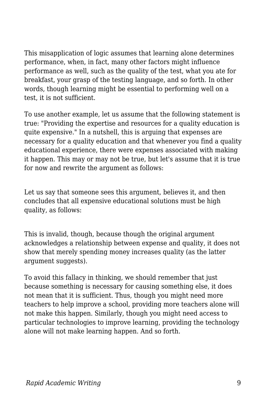This misapplication of logic assumes that learning alone determines performance, when, in fact, many other factors might influence performance as well, such as the quality of the test, what you ate for breakfast, your grasp of the testing language, and so forth. In other words, though learning might be essential to performing well on a test, it is not sufficient.

To use another example, let us assume that the following statement is true: "Providing the expertise and resources for a quality education is quite expensive." In a nutshell, this is arguing that expenses are necessary for a quality education and that whenever you find a quality educational experience, there were expenses associated with making it happen. This may or may not be true, but let's assume that it is true for now and rewrite the argument as follows:

Let us say that someone sees this argument, believes it, and then concludes that all expensive educational solutions must be high quality, as follows:

This is invalid, though, because though the original argument acknowledges a relationship between expense and quality, it does not show that merely spending money increases quality (as the latter argument suggests).

To avoid this fallacy in thinking, we should remember that just because something is necessary for causing something else, it does not mean that it is sufficient. Thus, though you might need more teachers to help improve a school, providing more teachers alone will not make this happen. Similarly, though you might need access to particular technologies to improve learning, providing the technology alone will not make learning happen. And so forth.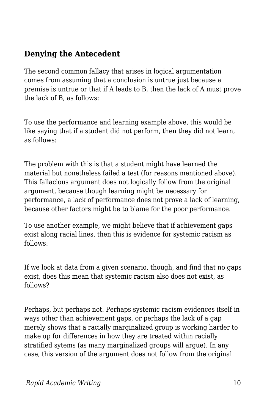### **Denying the Antecedent**

The second common fallacy that arises in logical argumentation comes from assuming that a conclusion is untrue just because a premise is untrue or that if A leads to B, then the lack of A must prove the lack of B, as follows:

To use the performance and learning example above, this would be like saying that if a student did not perform, then they did not learn, as follows:

The problem with this is that a student might have learned the material but nonetheless failed a test (for reasons mentioned above). This fallacious argument does not logically follow from the original argument, because though learning might be necessary for performance, a lack of performance does not prove a lack of learning, because other factors might be to blame for the poor performance.

To use another example, we might believe that if achievement gaps exist along racial lines, then this is evidence for systemic racism as follows:

If we look at data from a given scenario, though, and find that no gaps exist, does this mean that systemic racism also does not exist, as follows?

Perhaps, but perhaps not. Perhaps systemic racism evidences itself in ways other than achievement gaps, or perhaps the lack of a gap merely shows that a racially marginalized group is working harder to make up for differences in how they are treated within racially stratified sytems (as many marginalized groups will argue). In any case, this version of the argument does not follow from the original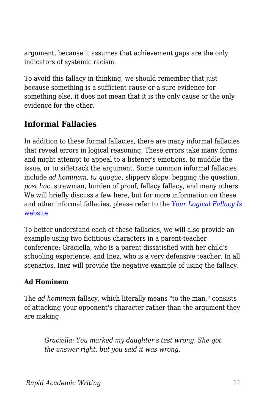argument, because it assumes that achievement gaps are the only indicators of systemic racism.

To avoid this fallacy in thinking, we should remember that just because something is a sufficient cause or a sure evidence for something else, it does not mean that it is the only cause or the only evidence for the other.

### **Informal Fallacies**

In addition to these formal fallacies, there are many informal fallacies that reveal errors in logical reasoning. These errors take many forms and might attempt to appeal to a listener's emotions, to muddle the issue, or to sidetrack the argument. Some common informal fallacies include *ad hominem*, *tu quoque*, slippery slope, begging the question, *post hoc*, strawman, burden of proof, fallacy fallacy, and many others. We will briefly discuss a few here, but for more information on these and other informal fallacies, please refer to the *[Your Logical Fallacy Is](https://yourlogicalfallacyis.com/)* [website](https://yourlogicalfallacyis.com/).

To better understand each of these fallacies, we will also provide an example using two fictitious characters in a parent-teacher conference: Graciella, who is a parent dissatisfied with her child's schooling experience, and Inez, who is a very defensive teacher. In all scenarios, Inez will provide the negative example of using the fallacy.

#### **Ad Hominem**

The *ad hominem* fallacy, which literally means "to the man," consists of attacking your opponent's character rather than the argument they are making.

*Graciella: You marked my daughter's test wrong. She got the answer right, but you said it was wrong.*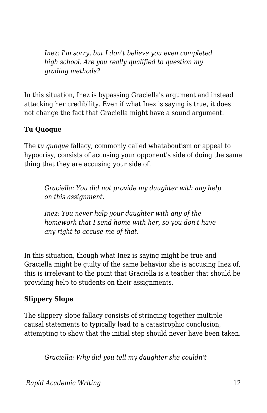*Inez: I'm sorry, but I don't believe you even completed high school. Are you really qualified to question my grading methods?*

In this situation, Inez is bypassing Graciella's argument and instead attacking her credibility. Even if what Inez is saying is true, it does not change the fact that Graciella might have a sound argument.

#### **Tu Quoque**

The *tu quoque* fallacy, commonly called whataboutism or appeal to hypocrisy, consists of accusing your opponent's side of doing the same thing that they are accusing your side of.

*Graciella: You did not provide my daughter with any help on this assignment.*

*Inez: You never help your daughter with any of the homework that I send home with her, so you don't have any right to accuse me of that.*

In this situation, though what Inez is saying might be true and Graciella might be guilty of the same behavior she is accusing Inez of, this is irrelevant to the point that Graciella is a teacher that should be providing help to students on their assignments.

#### **Slippery Slope**

The slippery slope fallacy consists of stringing together multiple causal statements to typically lead to a catastrophic conclusion, attempting to show that the initial step should never have been taken.

*Graciella: Why did you tell my daughter she couldn't*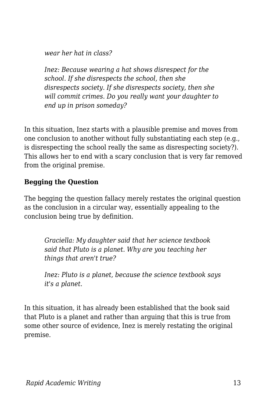*wear her hat in class?*

*Inez: Because wearing a hat shows disrespect for the school. If she disrespects the school, then she disrespects society. If she disrespects society, then she will commit crimes. Do you really want your daughter to end up in prison someday?*

In this situation, Inez starts with a plausible premise and moves from one conclusion to another without fully substantiating each step (e.g., is disrespecting the school really the same as disrespecting society?). This allows her to end with a scary conclusion that is very far removed from the original premise.

#### **Begging the Question**

The begging the question fallacy merely restates the original question as the conclusion in a circular way, essentially appealing to the conclusion being true by definition.

*Graciella: My daughter said that her science textbook said that Pluto is a planet. Why are you teaching her things that aren't true?*

*Inez: Pluto is a planet, because the science textbook says it's a planet.*

In this situation, it has already been established that the book said that Pluto is a planet and rather than arguing that this is true from some other source of evidence, Inez is merely restating the original premise.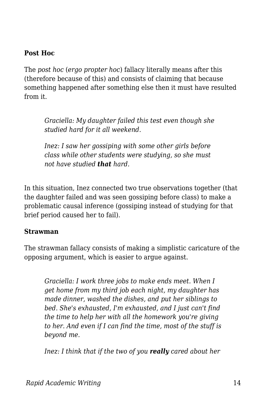#### **Post Hoc**

The *post hoc* (*ergo propter hoc*) fallacy literally means after this (therefore because of this) and consists of claiming that because something happened after something else then it must have resulted from it.

*Graciella: My daughter failed this test even though she studied hard for it all weekend.*

*Inez: I saw her gossiping with some other girls before class while other students were studying, so she must not have studied that hard.*

In this situation, Inez connected two true observations together (that the daughter failed and was seen gossiping before class) to make a problematic causal inference (gossiping instead of studying for that brief period caused her to fail).

#### **Strawman**

The strawman fallacy consists of making a simplistic caricature of the opposing argument, which is easier to argue against.

*Graciella: I work three jobs to make ends meet. When I get home from my third job each night, my daughter has made dinner, washed the dishes, and put her siblings to bed. She's exhausted, I'm exhausted, and I just can't find the time to help her with all the homework you're giving to her. And even if I can find the time, most of the stuff is beyond me.*

*Inez: I think that if the two of you really cared about her*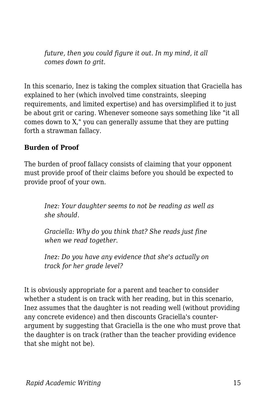*future, then you could figure it out. In my mind, it all comes down to grit.*

In this scenario, Inez is taking the complex situation that Graciella has explained to her (which involved time constraints, sleeping requirements, and limited expertise) and has oversimplified it to just be about grit or caring. Whenever someone says something like "it all comes down to X," you can generally assume that they are putting forth a strawman fallacy.

#### **Burden of Proof**

The burden of proof fallacy consists of claiming that your opponent must provide proof of their claims before you should be expected to provide proof of your own.

*Inez: Your daughter seems to not be reading as well as she should.*

*Graciella: Why do you think that? She reads just fine when we read together.*

*Inez: Do you have any evidence that she's actually on track for her grade level?*

It is obviously appropriate for a parent and teacher to consider whether a student is on track with her reading, but in this scenario, Inez assumes that the daughter is not reading well (without providing any concrete evidence) and then discounts Graciella's counterargument by suggesting that Graciella is the one who must prove that the daughter is on track (rather than the teacher providing evidence that she might not be).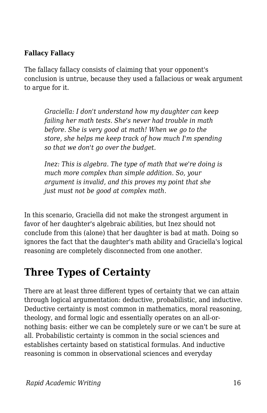#### **Fallacy Fallacy**

The fallacy fallacy consists of claiming that your opponent's conclusion is untrue, because they used a fallacious or weak argument to argue for it.

*Graciella: I don't understand how my daughter can keep failing her math tests. She's never had trouble in math before. She is very good at math! When we go to the store, she helps me keep track of how much I'm spending so that we don't go over the budget.*

*Inez: This is algebra. The type of math that we're doing is much more complex than simple addition. So, your argument is invalid, and this proves my point that she just must not be good at complex math.*

In this scenario, Graciella did not make the strongest argument in favor of her daughter's algebraic abilities, but Inez should not conclude from this (alone) that her daughter is bad at math. Doing so ignores the fact that the daughter's math ability and Graciella's logical reasoning are completely disconnected from one another.

## **Three Types of Certainty**

There are at least three different types of certainty that we can attain through logical argumentation: deductive, probabilistic, and inductive. Deductive certainty is most common in mathematics, moral reasoning, theology, and formal logic and essentially operates on an all-ornothing basis: either we can be completely sure or we can't be sure at all. Probabilistic certainty is common in the social sciences and establishes certainty based on statistical formulas. And inductive reasoning is common in observational sciences and everyday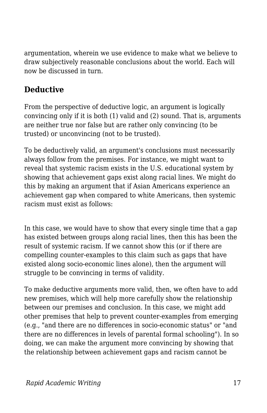argumentation, wherein we use evidence to make what we believe to draw subjectively reasonable conclusions about the world. Each will now be discussed in turn.

## **Deductive**

From the perspective of deductive logic, an argument is logically convincing only if it is both (1) valid and (2) sound. That is, arguments are neither true nor false but are rather only convincing (to be trusted) or unconvincing (not to be trusted).

To be deductively valid, an argument's conclusions must necessarily always follow from the premises. For instance, we might want to reveal that systemic racism exists in the U.S. educational system by showing that achievement gaps exist along racial lines. We might do this by making an argument that if Asian Americans experience an achievement gap when compared to white Americans, then systemic racism must exist as follows:

In this case, we would have to show that every single time that a gap has existed between groups along racial lines, then this has been the result of systemic racism. If we cannot show this (or if there are compelling counter-examples to this claim such as gaps that have existed along socio-economic lines alone), then the argument will struggle to be convincing in terms of validity.

To make deductive arguments more valid, then, we often have to add new premises, which will help more carefully show the relationship between our premises and conclusion. In this case, we might add other premises that help to prevent counter-examples from emerging (e.g., "and there are no differences in socio-economic status" or "and there are no differences in levels of parental formal schooling"). In so doing, we can make the argument more convincing by showing that the relationship between achievement gaps and racism cannot be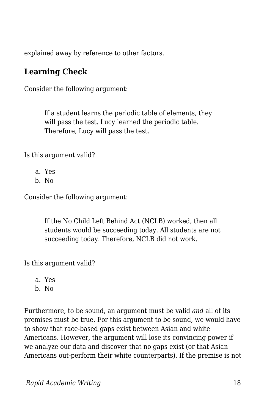explained away by reference to other factors.

#### **Learning Check**

Consider the following argument:

If a student learns the periodic table of elements, they will pass the test. Lucy learned the periodic table. Therefore, Lucy will pass the test.

Is this argument valid?

a. Yes b. No

Consider the following argument:

If the No Child Left Behind Act (NCLB) worked, then all students would be succeeding today. All students are not succeeding today. Therefore, NCLB did not work.

Is this argument valid?

a. Yes

b. No

Furthermore, to be sound, an argument must be valid *and* all of its premises must be true. For this argument to be sound, we would have to show that race-based gaps exist between Asian and white Americans. However, the argument will lose its convincing power if we analyze our data and discover that no gaps exist (or that Asian Americans out-perform their white counterparts). If the premise is not

*Rapid Academic Writing* 18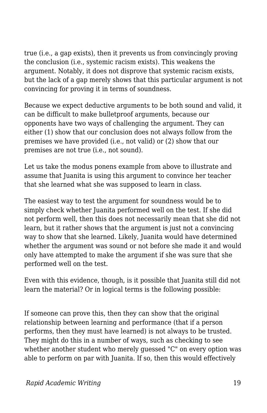true (i.e., a gap exists), then it prevents us from convincingly proving the conclusion (i.e., systemic racism exists). This weakens the argument. Notably, it does not disprove that systemic racism exists, but the lack of a gap merely shows that this particular argument is not convincing for proving it in terms of soundness.

Because we expect deductive arguments to be both sound and valid, it can be difficult to make bulletproof arguments, because our opponents have two ways of challenging the argument. They can either (1) show that our conclusion does not always follow from the premises we have provided (i.e., not valid) or (2) show that our premises are not true (i.e., not sound).

Let us take the modus ponens example from above to illustrate and assume that Juanita is using this argument to convince her teacher that she learned what she was supposed to learn in class.

The easiest way to test the argument for soundness would be to simply check whether Juanita performed well on the test. If she did not perform well, then this does not necessarily mean that she did not learn, but it rather shows that the argument is just not a convincing way to show that she learned. Likely, Juanita would have determined whether the argument was sound or not before she made it and would only have attempted to make the argument if she was sure that she performed well on the test.

Even with this evidence, though, is it possible that Juanita still did not learn the material? Or in logical terms is the following possible:

If someone can prove this, then they can show that the original relationship between learning and performance (that if a person performs, then they must have learned) is not always to be trusted. They might do this in a number of ways, such as checking to see whether another student who merely guessed "C" on every option was able to perform on par with Juanita. If so, then this would effectively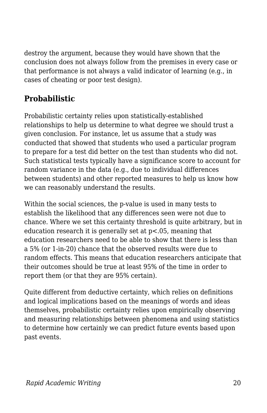destroy the argument, because they would have shown that the conclusion does not always follow from the premises in every case or that performance is not always a valid indicator of learning (e.g., in cases of cheating or poor test design).

## **Probabilistic**

Probabilistic certainty relies upon statistically-established relationships to help us determine to what degree we should trust a given conclusion. For instance, let us assume that a study was conducted that showed that students who used a particular program to prepare for a test did better on the test than students who did not. Such statistical tests typically have a significance score to account for random variance in the data (e.g., due to individual differences between students) and other reported measures to help us know how we can reasonably understand the results.

Within the social sciences, the p-value is used in many tests to establish the likelihood that any differences seen were not due to chance. Where we set this certainty threshold is quite arbitrary, but in education research it is generally set at p<.05, meaning that education researchers need to be able to show that there is less than a 5% (or 1-in-20) chance that the observed results were due to random effects. This means that education researchers anticipate that their outcomes should be true at least 95% of the time in order to report them (or that they are 95% certain).

Quite different from deductive certainty, which relies on definitions and logical implications based on the meanings of words and ideas themselves, probabilistic certainty relies upon empirically observing and measuring relationships between phenomena and using statistics to determine how certainly we can predict future events based upon past events.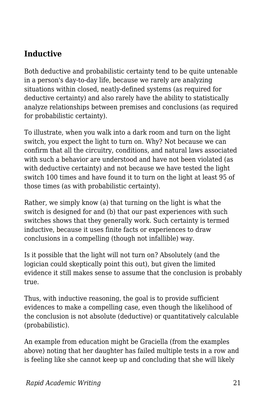## **Inductive**

Both deductive and probabilistic certainty tend to be quite untenable in a person's day-to-day life, because we rarely are analyzing situations within closed, neatly-defined systems (as required for deductive certainty) and also rarely have the ability to statistically analyze relationships between premises and conclusions (as required for probabilistic certainty).

To illustrate, when you walk into a dark room and turn on the light switch, you expect the light to turn on. Why? Not because we can confirm that all the circuitry, conditions, and natural laws associated with such a behavior are understood and have not been violated (as with deductive certainty) and not because we have tested the light switch 100 times and have found it to turn on the light at least 95 of those times (as with probabilistic certainty).

Rather, we simply know (a) that turning on the light is what the switch is designed for and (b) that our past experiences with such switches shows that they generally work. Such certainty is termed inductive, because it uses finite facts or experiences to draw conclusions in a compelling (though not infallible) way.

Is it possible that the light will not turn on? Absolutely (and the logician could skeptically point this out), but given the limited evidence it still makes sense to assume that the conclusion is probably true.

Thus, with inductive reasoning, the goal is to provide sufficient evidences to make a compelling case, even though the likelihood of the conclusion is not absolute (deductive) or quantitatively calculable (probabilistic).

An example from education might be Graciella (from the examples above) noting that her daughter has failed multiple tests in a row and is feeling like she cannot keep up and concluding that she will likely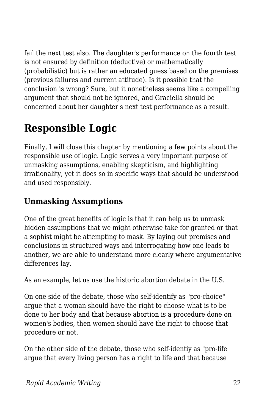fail the next test also. The daughter's performance on the fourth test is not ensured by definition (deductive) or mathematically (probabilistic) but is rather an educated guess based on the premises (previous failures and current attitude). Is it possible that the conclusion is wrong? Sure, but it nonetheless seems like a compelling argument that should not be ignored, and Graciella should be concerned about her daughter's next test performance as a result.

## **Responsible Logic**

Finally, I will close this chapter by mentioning a few points about the responsible use of logic. Logic serves a very important purpose of unmasking assumptions, enabling skepticism, and highlighting irrationality, yet it does so in specific ways that should be understood and used responsibly.

## **Unmasking Assumptions**

One of the great benefits of logic is that it can help us to unmask hidden assumptions that we might otherwise take for granted or that a sophist might be attempting to mask. By laying out premises and conclusions in structured ways and interrogating how one leads to another, we are able to understand more clearly where argumentative differences lay.

As an example, let us use the historic abortion debate in the U.S.

On one side of the debate, those who self-identify as "pro-choice" argue that a woman should have the right to choose what is to be done to her body and that because abortion is a procedure done on women's bodies, then women should have the right to choose that procedure or not.

On the other side of the debate, those who self-identiy as "pro-life" argue that every living person has a right to life and that because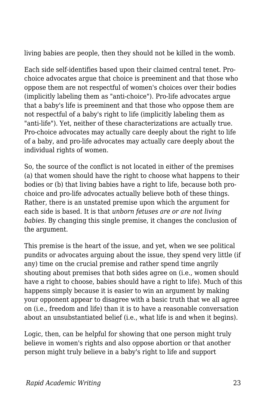living babies are people, then they should not be killed in the womb.

Each side self-identifies based upon their claimed central tenet. Prochoice advocates argue that choice is preeminent and that those who oppose them are not respectful of women's choices over their bodies (implicitly labeling them as "anti-choice"). Pro-life advocates argue that a baby's life is preeminent and that those who oppose them are not respectful of a baby's right to life (implicitly labeling them as "anti-life"). Yet, neither of these characterizations are actually true. Pro-choice advocates may actually care deeply about the right to life of a baby, and pro-life advocates may actually care deeply about the individual rights of women.

So, the source of the conflict is not located in either of the premises (a) that women should have the right to choose what happens to their bodies or (b) that living babies have a right to life, because both prochoice and pro-life advocates actually believe both of these things. Rather, there is an unstated premise upon which the argument for each side is based. It is that *unborn fetuses are or are not living babies.* By changing this single premise, it changes the conclusion of the argument.

This premise is the heart of the issue, and yet, when we see political pundits or advocates arguing about the issue, they spend very little (if any) time on the crucial premise and rather spend time angrily shouting about premises that both sides agree on (i.e., women should have a right to choose, babies should have a right to life). Much of this happens simply because it is easier to win an argument by making your opponent appear to disagree with a basic truth that we all agree on (i.e., freedom and life) than it is to have a reasonable conversation about an unsubstantiated belief (i.e., what life is and when it begins).

Logic, then, can be helpful for showing that one person might truly believe in women's rights and also oppose abortion or that another person might truly believe in a baby's right to life and support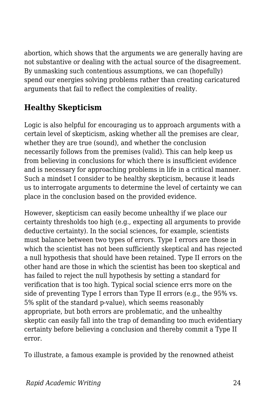abortion, which shows that the arguments we are generally having are not substantive or dealing with the actual source of the disagreement. By unmasking such contentious assumptions, we can (hopefully) spend our energies solving problems rather than creating caricatured arguments that fail to reflect the complexities of reality.

## **Healthy Skepticism**

Logic is also helpful for encouraging us to approach arguments with a certain level of skepticism, asking whether all the premises are clear, whether they are true (sound), and whether the conclusion necessarily follows from the premises (valid). This can help keep us from believing in conclusions for which there is insufficient evidence and is necessary for approaching problems in life in a critical manner. Such a mindset I consider to be healthy skepticism, because it leads us to interrogate arguments to determine the level of certainty we can place in the conclusion based on the provided evidence.

However, skepticism can easily become unhealthy if we place our certainty thresholds too high (e.g., expecting all arguments to provide deductive certainty). In the social sciences, for example, scientists must balance between two types of errors. Type I errors are those in which the scientist has not been sufficiently skeptical and has rejected a null hypothesis that should have been retained. Type II errors on the other hand are those in which the scientist has been too skeptical and has failed to reject the null hypothesis by setting a standard for verification that is too high. Typical social science errs more on the side of preventing Type I errors than Type II errors (e.g., the 95% vs. 5% split of the standard p-value), which seems reasonably appropriate, but both errors are problematic, and the unhealthy skeptic can easily fall into the trap of demanding too much evidentiary certainty before believing a conclusion and thereby commit a Type II error.

To illustrate, a famous example is provided by the renowned atheist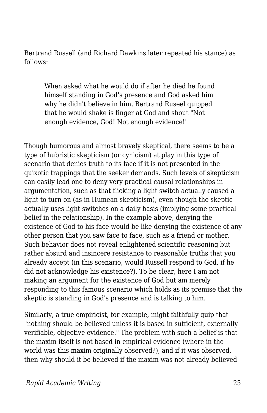Bertrand Russell (and Richard Dawkins later repeated his stance) as follows:

When asked what he would do if after he died he found himself standing in God's presence and God asked him why he didn't believe in him, Bertrand Ruseel quipped that he would shake is finger at God and shout "Not enough evidence, God! Not enough evidence!"

Though humorous and almost bravely skeptical, there seems to be a type of hubristic skepticism (or cynicism) at play in this type of scenario that denies truth to its face if it is not presented in the quixotic trappings that the seeker demands. Such levels of skepticism can easily lead one to deny very practical causal relationships in argumentation, such as that flicking a light switch actually caused a light to turn on (as in Humean skepticism), even though the skeptic actually uses light switches on a daily basis (implying some practical belief in the relationship). In the example above, denying the existence of God to his face would be like denying the existence of any other person that you saw face to face, such as a friend or mother. Such behavior does not reveal enlightened scientific reasoning but rather absurd and insincere resistance to reasonable truths that you already accept (in this scenario, would Russell respond to God, if he did not acknowledge his existence?). To be clear, here I am not making an argument for the existence of God but am merely responding to this famous scenario which holds as its premise that the skeptic is standing in God's presence and is talking to him.

Similarly, a true empiricist, for example, might faithfully quip that "nothing should be believed unless it is based in sufficient, externally verifiable, objective evidence." The problem with such a belief is that the maxim itself is not based in empirical evidence (where in the world was this maxim originally observed?), and if it was observed, then why should it be believed if the maxim was not already believed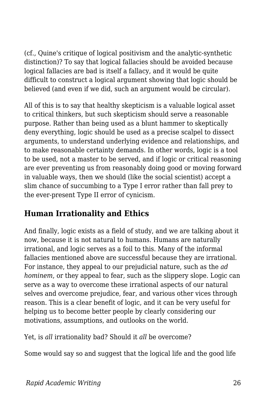(cf., Quine's critique of logical positivism and the analytic-synthetic distinction)? To say that logical fallacies should be avoided because logical fallacies are bad is itself a fallacy, and it would be quite difficult to construct a logical argument showing that logic should be believed (and even if we did, such an argument would be circular).

All of this is to say that healthy skepticism is a valuable logical asset to critical thinkers, but such skepticism should serve a reasonable purpose. Rather than being used as a blunt hammer to skeptically deny everything, logic should be used as a precise scalpel to dissect arguments, to understand underlying evidence and relationships, and to make reasonable certainty demands. In other words, logic is a tool to be used, not a master to be served, and if logic or critical reasoning are ever preventing us from reasonably doing good or moving forward in valuable ways, then we should (like the social scientist) accept a slim chance of succumbing to a Type I error rather than fall prey to the ever-present Type II error of cynicism.

## **Human Irrationality and Ethics**

And finally, logic exists as a field of study, and we are talking about it now, because it is not natural to humans. Humans are naturally irrational, and logic serves as a foil to this. Many of the informal fallacies mentioned above are successful because they are irrational. For instance, they appeal to our prejudicial nature, such as the *ad hominem*, or they appeal to fear, such as the slippery slope. Logic can serve as a way to overcome these irrational aspects of our natural selves and overcome prejudice, fear, and various other vices through reason. This is a clear benefit of logic, and it can be very useful for helping us to become better people by clearly considering our motivations, assumptions, and outlooks on the world.

Yet, is *all* irrationality bad? Should it *all* be overcome?

Some would say so and suggest that the logical life and the good life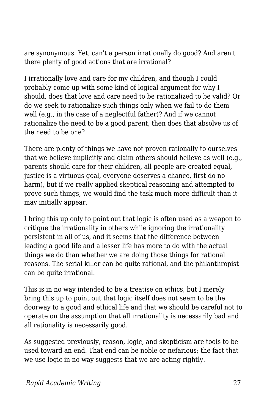are synonymous. Yet, can't a person irrationally do good? And aren't there plenty of good actions that are irrational?

I irrationally love and care for my children, and though I could probably come up with some kind of logical argument for why I should, does that love and care need to be rationalized to be valid? Or do we seek to rationalize such things only when we fail to do them well (e.g., in the case of a neglectful father)? And if we cannot rationalize the need to be a good parent, then does that absolve us of the need to be one?

There are plenty of things we have not proven rationally to ourselves that we believe implicitly and claim others should believe as well (e.g., parents should care for their children, all people are created equal, justice is a virtuous goal, everyone deserves a chance, first do no harm), but if we really applied skeptical reasoning and attempted to prove such things, we would find the task much more difficult than it may initially appear.

I bring this up only to point out that logic is often used as a weapon to critique the irrationality in others while ignoring the irrationality persistent in all of us, and it seems that the difference between leading a good life and a lesser life has more to do with the actual things we do than whether we are doing those things for rational reasons. The serial killer can be quite rational, and the philanthropist can be quite irrational.

This is in no way intended to be a treatise on ethics, but I merely bring this up to point out that logic itself does not seem to be the doorway to a good and ethical life and that we should be careful not to operate on the assumption that all irrationality is necessarily bad and all rationality is necessarily good.

As suggested previously, reason, logic, and skepticism are tools to be used toward an end. That end can be noble or nefarious; the fact that we use logic in no way suggests that we are acting rightly.